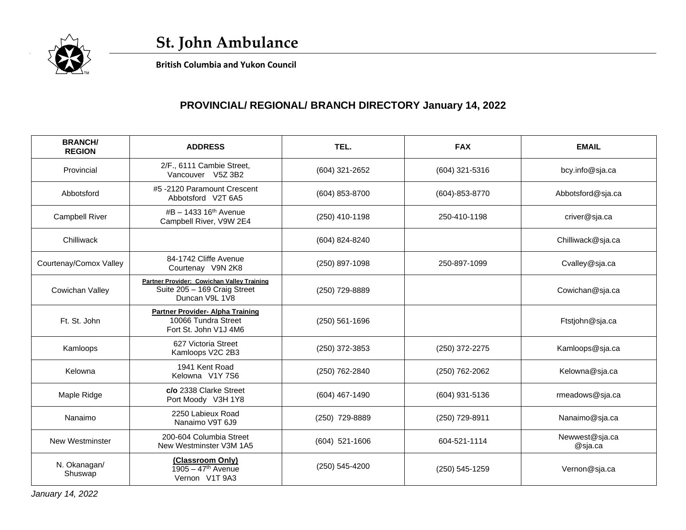

 **British Columbia and Yukon Council**

## **PROVINCIAL/ REGIONAL/ BRANCH DIRECTORY January 14, 2022**

| <b>BRANCH/</b><br><b>REGION</b> | <b>ADDRESS</b>                                                                               | TEL.               | <b>FAX</b>     | <b>EMAIL</b>              |
|---------------------------------|----------------------------------------------------------------------------------------------|--------------------|----------------|---------------------------|
| Provincial                      | 2/F., 6111 Cambie Street,<br>Vancouver V5Z 3B2                                               | (604) 321-2652     | (604) 321-5316 | bcy.info@sja.ca           |
| Abbotsford                      | #5-2120 Paramount Crescent<br>Abbotsford V2T 6A5                                             | (604) 853-8700     | (604)-853-8770 | Abbotsford@sja.ca         |
| <b>Campbell River</b>           | #B - 1433 16 <sup>th</sup> Avenue<br>Campbell River, V9W 2E4                                 | (250) 410-1198     | 250-410-1198   | criver@sja.ca             |
| Chilliwack                      |                                                                                              | (604) 824-8240     |                | Chilliwack@sja.ca         |
| Courtenay/Comox Valley          | 84-1742 Cliffe Avenue<br>Courtenay V9N 2K8                                                   | (250) 897-1098     | 250-897-1099   | Cvalley@sja.ca            |
| Cowichan Valley                 | Partner Provider: Cowichan Valley Training<br>Suite 205 - 169 Craig Street<br>Duncan V9L 1V8 | (250) 729-8889     |                | Cowichan@sja.ca           |
| Ft. St. John                    | <b>Partner Provider- Alpha Training</b><br>10066 Tundra Street<br>Fort St. John V1J 4M6      | $(250) 561 - 1696$ |                | Ftstjohn@sja.ca           |
| Kamloops                        | 627 Victoria Street<br>Kamloops V2C 2B3                                                      | (250) 372-3853     | (250) 372-2275 | Kamloops@sja.ca           |
| Kelowna                         | 1941 Kent Road<br>Kelowna V1Y 7S6                                                            | (250) 762-2840     | (250) 762-2062 | Kelowna@sja.ca            |
| Maple Ridge                     | c/o 2338 Clarke Street<br>Port Moody V3H 1Y8                                                 | (604) 467-1490     | (604) 931-5136 | rmeadows@sja.ca           |
| Nanaimo                         | 2250 Labieux Road<br>Nanaimo V9T 6J9                                                         | (250) 729-8889     | (250) 729-8911 | Nanaimo@sja.ca            |
| <b>New Westminster</b>          | 200-604 Columbia Street<br>New Westminster V3M 1A5                                           | $(604)$ 521-1606   | 604-521-1114   | Newwest@sja.ca<br>@sja.ca |
| N. Okanagan/<br>Shuswap         | (Classroom Only)<br>$1905 - 47$ <sup>th</sup> Avenue<br>Vernon V1T 9A3                       | (250) 545-4200     | (250) 545-1259 | Vernon@sja.ca             |

*January 14, 2022*